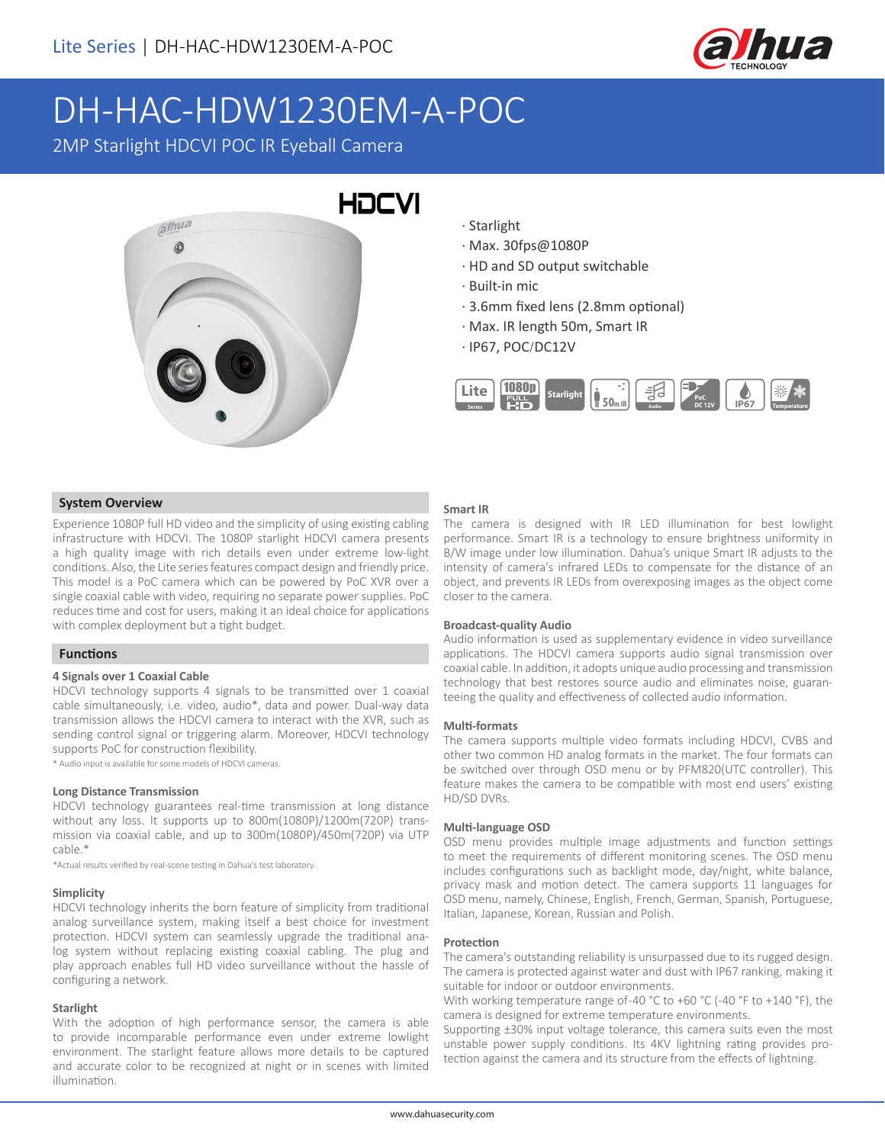

# DH-HAC-HDW1230EM-A-POC

2MP Starlight HDCVI POC IR Eyeball Camera



- · Starlight
- · Max. 30fps@1080P
- · HD and SD output switchable
- · Built-in mic
- · 3.6mm fixed lens (2.8mm optional)
- · Max. IR length 50m, Smart IR
- · IP67, POC/DC12V



### **System Overview**

Experience 1080P full HD video and the simplicity of using existing cabling infrastructure with HDCVI. The 1080P starlight HDCVI camera presents a high quality image with rich details even under extreme low-light conditions. Also, the Lite series features compact design and friendly price. This model is a PoC camera which can be powered by PoC XVR over a single coaxial cable with video, requiring no separate power supplies. PoC reduces time and cost for users, making it an ideal choice for applications with complex deployment but a tight budget.

# **Functions**

#### **4 Signals over 1 Coaxial Cable**

HDCVI technology supports 4 signals to be transmitted over 1 coaxial cable simultaneously, i.e. video, audio\*, data and power. Dual-way data transmission allows the HDCVI camera to interact with the XVR, such as sending control signal or triggering alarm. Moreover, HDCVI technology supports PoC for construction flexibility.

\* Audio input is available for some models of HDCVI cameras.

#### **Long Distance Transmission**

HDCVI technology guarantees real-time transmission at long distance without any loss. It supports up to 800m(1080P)/1200m(720P) transmission via coaxial cable, and up to 300m(1080P)/450m(720P) via UTP cable.\*

\*Actual results verified by real-scene testing in Dahua's test laboratory.

#### **Simplicity**

HDCVI technology inherits the born feature of simplicity from traditional analog surveillance system, making itself a best choice for investment protection. HDCVI system can seamlessly upgrade the traditional analog system without replacing existing coaxial cabling. The plug and play approach enables full HD video surveillance without the hassle of configuring a network.

#### **Starlight**

With the adoption of high performance sensor, the camera is able to provide incomparable performance even under extreme lowlight environment. The starlight feature allows more details to be captured and accurate color to be recognized at night or in scenes with limited illumination.

#### **Smart IR**

The camera is designed with IR LED illumination for best lowlight performance. Smart IR is a technology to ensure brightness uniformity in B/W image under low illumination. Dahua's unique Smart IR adjusts to the intensity of camera's infrared LEDs to compensate for the distance of an object, and prevents IR LEDs from overexposing images as the object come closer to the camera.

#### **Broadcast-quality Audio**

Audio information is used as supplementary evidence in video surveillance applications. The HDCVI camera supports audio signal transmission over coaxial cable. In addition, it adopts unique audio processing and transmission technology that best restores source audio and eliminates noise, guaranteeing the quality and effectiveness of collected audio information.

#### **Multi-formats**

The camera supports multiple video formats including HDCVI, CVBS and other two common HD analog formats in the market. The four formats can be switched over through OSD menu or by PFM820(UTC controller). This feature makes the camera to be compatible with most end users' existing HD/SD DVRs.

#### **Multi-language OSD**

OSD menu provides multiple image adjustments and function settings to meet the requirements of different monitoring scenes. The OSD menu includes configurations such as backlight mode, day/night, white balance, privacy mask and motion detect. The camera supports 11 languages for OSD menu, namely, Chinese, English, French, German, Spanish, Portuguese, Italian, Japanese, Korean, Russian and Polish.

#### **Protection**

The camera's outstanding reliability is unsurpassed due to its rugged design. The camera is protected against water and dust with IP67 ranking, making it suitable for indoor or outdoor environments.

With working temperature range of -40 °C to +60 °C (-40 °F to +140 °F), the camera is designed for extreme temperature environments.

Supporting ±30% input voltage tolerance, this camera suits even the most unstable power supply conditions. Its 4KV lightning rating provides protection against the camera and its structure from the effects of lightning.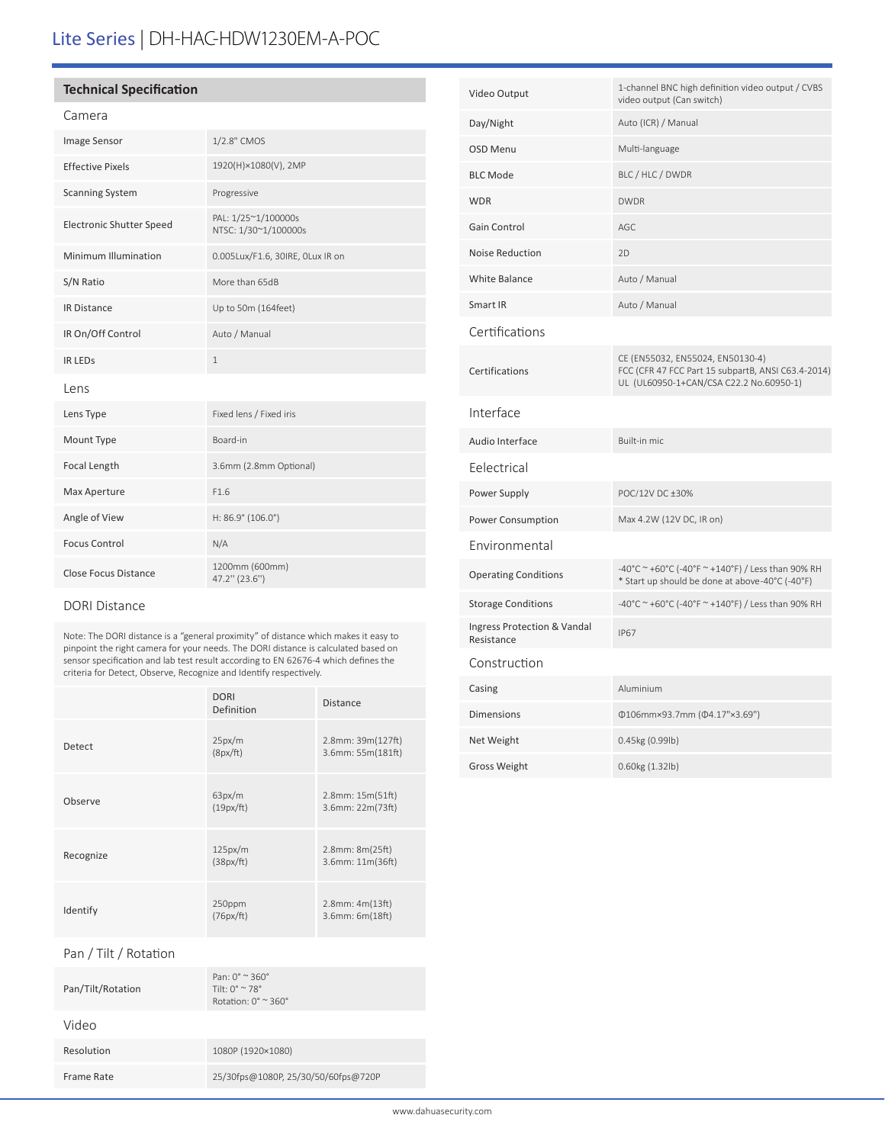# Lite Series | DH-HAC-HDW1230EM-A-POC

# **Technical Specification**

## Camera

| Image Sensor                    | 1/2.8" CMOS                                 |
|---------------------------------|---------------------------------------------|
| <b>Effective Pixels</b>         | 1920(H)×1080(V), 2MP                        |
| <b>Scanning System</b>          | Progressive                                 |
| <b>Electronic Shutter Speed</b> | PAL: 1/25~1/100000s<br>NTSC: 1/30~1/100000s |
| Minimum Illumination            | 0.005Lux/F1.6, 30IRE, OLux IR on            |
| S/N Ratio                       | More than 65dB                              |
| <b>IR Distance</b>              | Up to 50m (164feet)                         |
| IR On/Off Control               | Auto / Manual                               |
| <b>IR LEDS</b>                  | $\mathbf{1}$                                |
| Lens                            |                                             |
| Lens Type                       | Fixed lens / Fixed iris                     |
| Mount Type                      | Board-in                                    |
| Focal Length                    | 3.6mm (2.8mm Optional)                      |
| Max Aperture                    | F1.6                                        |
| Angle of View                   | H: 86.9° (106.0°)                           |
| <b>Focus Control</b>            | N/A                                         |
| <b>Close Focus Distance</b>     | 1200mm (600mm)<br>47.2" (23.6")             |

## DORI Distance

Note: The DORI distance is a "general proximity" of distance which makes it easy to pinpoint the right camera for your needs. The DORI distance is calculated based on sensor specification and lab test result according to EN 62676-4 which defines the criteria for Detect, Observe, Recognize and Identify respectively.

|           | <b>DORI</b><br>Definition | <b>Distance</b>                             |
|-----------|---------------------------|---------------------------------------------|
| Detect    | 25px/m<br>(8px/ft)        | $2.8$ mm: $39m(127ft)$<br>3.6mm: 55m(181ft) |
| Observe   | 63px/m<br>(19px/ft)       | $2.8$ mm: $15m(51ft)$<br>3.6mm: 22m(73ft)   |
| Recognize | 125px/m<br>(38px/ft)      | 2.8mm: 8m(25ft)<br>3.6mm: 11m(36ft)         |
| Identify  | 250ppm<br>(76px/ft)       | $2.8$ mm: $4m(13ft)$<br>3.6mm: 6m(18ft)     |

Pan / Tilt / Rotation

| Pan/Tilt/Rotation | Pan: $0^{\circ}$ $\approx$ 360 $^{\circ}$<br>Tilt: $0^{\circ} \approx 78^{\circ}$<br>Rotation: $0^\circ \approx 360^\circ$ |
|-------------------|----------------------------------------------------------------------------------------------------------------------------|
| Video             |                                                                                                                            |
| Resolution        | 1080P (1920×1080)                                                                                                          |
| Frame Rate        | 25/30fps@1080P, 25/30/50/60fps@720P                                                                                        |

| Video Output                              | 1-channel BNC high definition video output / CVBS<br>video output (Can switch)                                                    |
|-------------------------------------------|-----------------------------------------------------------------------------------------------------------------------------------|
| Day/Night                                 | Auto (ICR) / Manual                                                                                                               |
| <b>OSD Menu</b>                           | Multi-language                                                                                                                    |
| <b>BLC Mode</b>                           | BLC / HLC / DWDR                                                                                                                  |
| <b>WDR</b>                                | <b>DWDR</b>                                                                                                                       |
| <b>Gain Control</b>                       | AGC                                                                                                                               |
| Noise Reduction                           | 2D                                                                                                                                |
| <b>White Balance</b>                      | Auto / Manual                                                                                                                     |
| Smart IR                                  | Auto / Manual                                                                                                                     |
| Certifications                            |                                                                                                                                   |
| Certifications                            | CE (EN55032, EN55024, EN50130-4)<br>FCC (CFR 47 FCC Part 15 subpartB, ANSI C63.4-2014)<br>UL (UL60950-1+CAN/CSA C22.2 No.60950-1) |
| Interface                                 |                                                                                                                                   |
| Audio Interface                           | Built-in mic                                                                                                                      |
| Felectrical                               |                                                                                                                                   |
| Power Supply                              | POC/12V DC ±30%                                                                                                                   |
| Power Consumption                         | Max 4.2W (12V DC, IR on)                                                                                                          |
| Environmental                             |                                                                                                                                   |
| <b>Operating Conditions</b>               | -40°C ~ +60°C (-40°F ~ +140°F) / Less than 90% RH<br>* Start up should be done at above-40°C (-40°F)                              |
| <b>Storage Conditions</b>                 | -40°C ~ +60°C (-40°F ~ +140°F) / Less than 90% RH                                                                                 |
| Ingress Protection & Vandal<br>Resistance | <b>IP67</b>                                                                                                                       |
| Construction                              |                                                                                                                                   |
| Casing                                    | Aluminium                                                                                                                         |
| <b>Dimensions</b>                         | Φ106mm×93.7mm (Φ4.17"×3.69")                                                                                                      |
| Net Weight                                | 0.45kg (0.99lb)                                                                                                                   |
| <b>Gross Weight</b>                       | 0.60kg (1.32lb)                                                                                                                   |